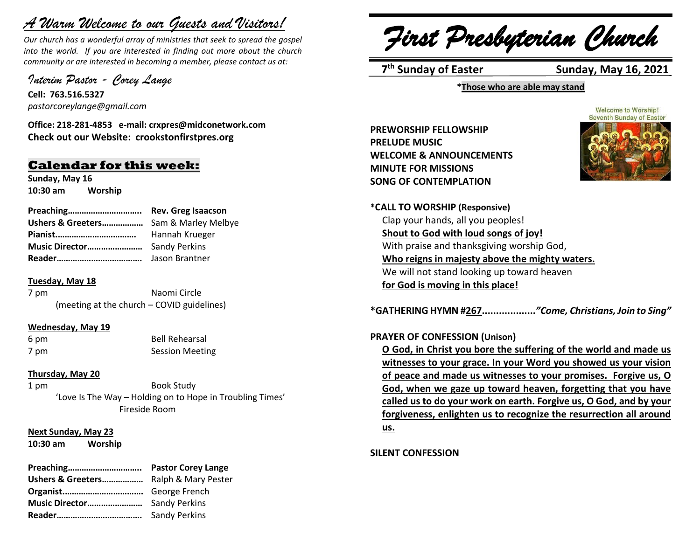# *A Warm Welcome to our Guests and Visitors!*

*Our church has a wonderful array of ministries that seek to spread the gospel into the world. If you are interested in finding out more about the church community or are interested in becoming a member, please contact us at:*

*Interim Pastor - Corey Lange* 

**Cell: 763.516.5327** *pastorcoreylange@gmail.com*

**Office: 218-281-4853 e-mail: crxpres@midconetwork.com Check out our Website: crookstonfirstpres.org**

## **Calendar for this week:**

**Sunday, May 16 10:30 am Worship**

**Preaching………………………….. Rev. Greg Isaacson Ushers & Greeters………………** Sam & Marley Melbye **Pianist.…………………………….** Hannah Krueger **Music Director……………………** Sandy Perkins **Reader……………………………….** Jason Brantner

#### **Tuesday, May 18**

7 pm Naomi Circle (meeting at the church – COVID guidelines)

#### **Wednesday, May 19**

| 6 pm |  |
|------|--|
| 7 pm |  |

Bell Rehearsal **Session Meeting** 

#### **Thursday, May 20**

1 pm Book Study 'Love Is The Way – Holding on to Hope in Troubling Times' Fireside Room

#### **Next Sunday, May 23**

**10:30 am Worship** 

| Ushers & Greeters Ralph & Mary Pester |  |
|---------------------------------------|--|
|                                       |  |
|                                       |  |
|                                       |  |

*First Presbyterian Church*

7<sup>th</sup> Sunday of Easter

**Sunday, May 16, 2021** 

**\*Those who are able may stand**

**PREWORSHIP FELLOWSHIP PRELUDE MUSIC WELCOME & ANNOUNCEMENTS MINUTE FOR MISSIONS SONG OF CONTEMPLATION** 



**\*CALL TO WORSHIP (Responsive)** Clap your hands, all you peoples! **Shout to God with loud songs of joy!** With praise and thanksgiving worship God, **Who reigns in majesty above the mighty waters.** We will not stand looking up toward heaven **for God is moving in this place!**

**\*GATHERING HYMN #267...................***"Come, Christians, Join to Sing"*

#### **PRAYER OF CONFESSION (Unison)**

**O God, in Christ you bore the suffering of the world and made us witnesses to your grace. In your Word you showed us your vision of peace and made us witnesses to your promises. Forgive us, O God, when we gaze up toward heaven, forgetting that you have called us to do your work on earth. Forgive us, O God, and by your forgiveness, enlighten us to recognize the resurrection all around us.**

**SILENT CONFESSION**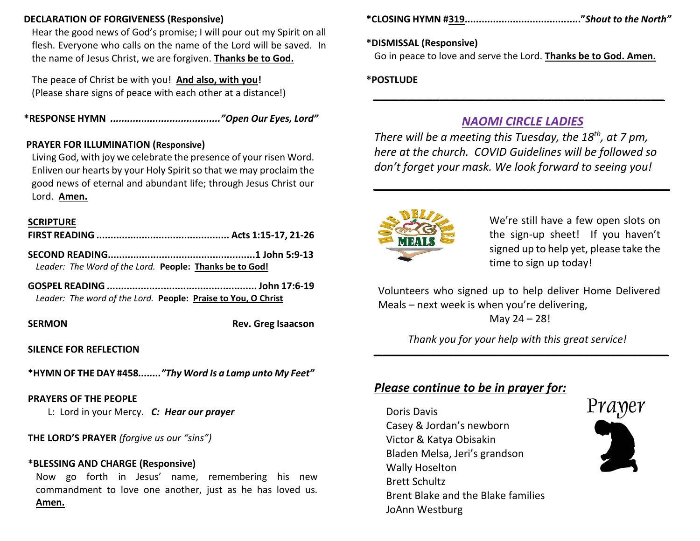#### **DECLARATION OF FORGIVENESS (Responsive)**

Hear the good news of God's promise; I will pour out my Spirit on all flesh. Everyone who calls on the name of the Lord will be saved. In the name of Jesus Christ, we are forgiven. **Thanks be to God.**

The peace of Christ be with you! **And also, with you!** (Please share signs of peace with each other at a distance!)

**\*RESPONSE HYMN** *......................................."Open Our Eyes, Lord"*

#### **PRAYER FOR ILLUMINATION (Responsive)**

Living God, with joy we celebrate the presence of your risen Word. Enliven our hearts by your Holy Spirit so that we may proclaim the good news of eternal and abundant life; through Jesus Christ our Lord. **Amen.**

#### **SCRIPTURE**

|--|--|

**SECOND READING....................................................1 John 5:9-13** *Leader: The Word of the Lord.* **People: Thanks be to God!**

**GOSPEL READING ..................................................... John 17:6-19** *Leader: The word of the Lord.* **People: Praise to You, O Christ**

**SERMON** Rev. Greg Isaacson

**SILENCE FOR REFLECTION**

**\*HYMN OF THE DAY #458***........"Thy Word Is a Lamp unto My Feet"*

**PRAYERS OF THE PEOPLE** 

L: Lord in your Mercy. *C: Hear our prayer*

**THE LORD'S PRAYER** *(forgive us our "sins")* 

#### **\*BLESSING AND CHARGE (Responsive)**

Now go forth in Jesus' name, remembering his new commandment to love one another, just as he has loved us. **Amen.**

# **\*CLOSING HYMN #319........................................."***Shout to the North"*

#### **\*DISMISSAL (Responsive)**

Go in peace to love and serve the Lord. **Thanks be to God. Amen.**

#### **\*POSTLUDE**

# *NAOMI CIRCLE LADIES*

*\_\_\_\_\_\_\_\_\_\_\_\_\_\_\_\_\_\_\_\_\_\_\_\_\_\_\_\_\_\_\_\_\_\_\_\_\_\_\_\_\_\_\_\_*

*There will be a meeting this Tuesday, the 18th, at 7 pm, here at the church. COVID Guidelines will be followed so don't forget your mask. We look forward to seeing you!*

*\_\_\_\_\_\_\_\_\_\_\_\_\_\_\_\_\_\_\_\_\_\_\_\_\_\_\_\_\_\_\_\_\_\_\_\_\_\_\_\_\_\_*



We're still have a few open slots on the sign-up sheet! If you haven't signed up to help yet, please take the time to sign up today!

Volunteers who signed up to help deliver Home Delivered Meals – next week is when you're delivering,

May 24 – 28!

*Thank you for your help with this great service! \_\_\_\_\_\_\_\_\_\_\_\_\_\_\_\_\_\_\_\_\_\_\_\_\_\_\_\_\_\_\_\_\_\_\_\_\_\_\_\_\_\_\_\_\_\_\_\_\_\_\_\_\_\_\_\_\_\_\_\_\_\_\_\_\_\_\_*

# *Please continue to be in prayer for:*

Doris Davis Casey & Jordan's newborn Victor & Katya Obisakin Bladen Melsa, Jeri's grandson Wally Hoselton Brett Schultz Brent Blake and the Blake families JoAnn Westburg

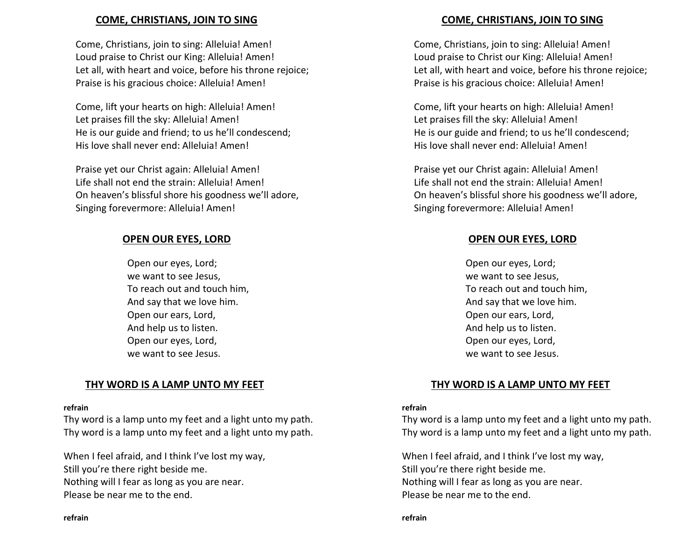#### **COME, CHRISTIANS, JOIN TO SING**

Come, Christians, join to sing: Alleluia! Amen! Loud praise to Christ our King: Alleluia! Amen! Let all, with heart and voice, before his throne rejoice; Praise is his gracious choice: Alleluia! Amen!

Come, lift your hearts on high: Alleluia! Amen! Let praises fill the sky: Alleluia! Amen! He is our guide and friend; to us he'll condescend; His love shall never end: Alleluia! Amen!

Praise yet our Christ again: Alleluia! Amen! Life shall not end the strain: Alleluia! Amen! On heaven's blissful shore his goodness we'll adore, Singing forevermore: Alleluia! Amen!

#### **OPEN OUR EYES, LORD**

Open our eyes, Lord; we want to see Jesus, To reach out and touch him, And say that we love him. Open our ears, Lord, And help us to listen. Open our eyes, Lord, we want to see Jesus.

#### **THY WORD IS A LAMP UNTO MY FEET**

#### **refrain**

Thy word is a lamp unto my feet and a light unto my path. Thy word is a lamp unto my feet and a light unto my path.

When I feel afraid, and I think I've lost my way, Still you're there right beside me. Nothing will I fear as long as you are near. Please be near me to the end.

### **COME, CHRISTIANS, JOIN TO SING**

Come, Christians, join to sing: Alleluia! Amen! Loud praise to Christ our King: Alleluia! Amen! Let all, with heart and voice, before his throne rejoice; Praise is his gracious choice: Alleluia! Amen!

Come, lift your hearts on high: Alleluia! Amen! Let praises fill the sky: Alleluia! Amen! He is our guide and friend; to us he'll condescend; His love shall never end: Alleluia! Amen!

Praise yet our Christ again: Alleluia! Amen! Life shall not end the strain: Alleluia! Amen! On heaven's blissful shore his goodness we'll adore, Singing forevermore: Alleluia! Amen!

#### **OPEN OUR EYES, LORD**

Open our eyes, Lord; we want to see Jesus, To reach out and touch him, And say that we love him. Open our ears, Lord, And help us to listen. Open our eyes, Lord, we want to see Jesus.

#### **THY WORD IS A LAMP UNTO MY FEET**

#### **refrain**

Thy word is a lamp unto my feet and a light unto my path. Thy word is a lamp unto my feet and a light unto my path.

When I feel afraid, and I think I've lost my way, Still you're there right beside me. Nothing will I fear as long as you are near. Please be near me to the end.